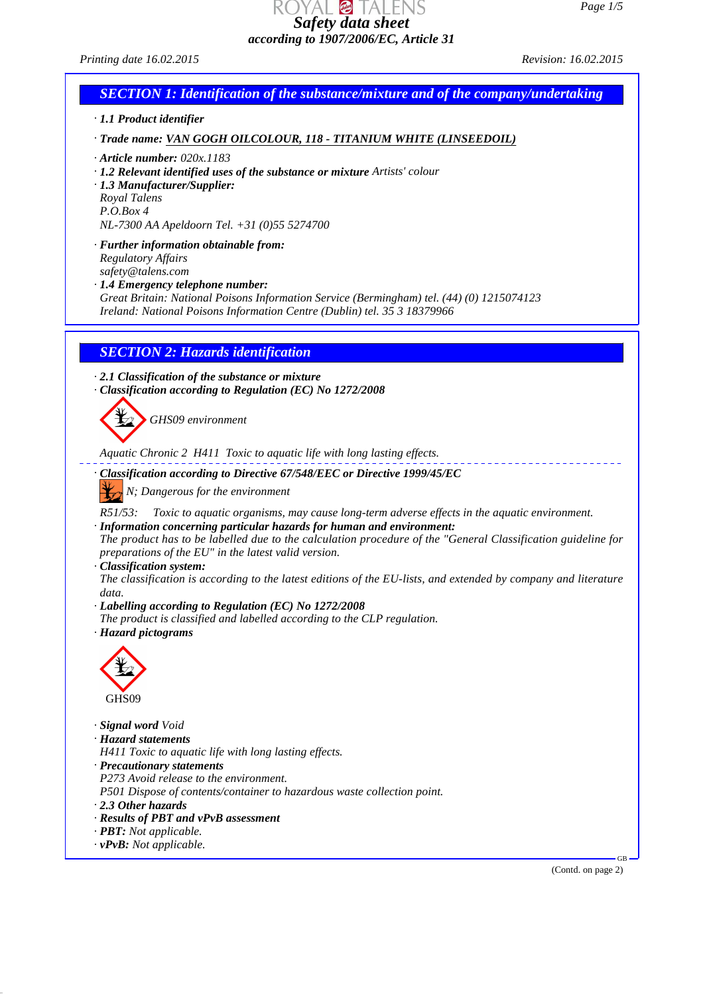*Safety data sheet according to 1907/2006/EC, Article 31*

*Printing date 16.02.2015 Revision: 16.02.2015*

# *SECTION 1: Identification of the substance/mixture and of the company/undertaking*

*· 1.1 Product identifier*

*· Trade name: VAN GOGH OILCOLOUR, 118 - TITANIUM WHITE (LINSEEDOIL)*

*· Article number: 020x.1183*

- *· 1.2 Relevant identified uses of the substance or mixture Artists' colour*
- *· 1.3 Manufacturer/Supplier:*

*Royal Talens*

*P.O.Box 4*

*NL-7300 AA Apeldoorn Tel. +31 (0)55 5274700*

*· Further information obtainable from:*

*Regulatory Affairs*

*safety@talens.com · 1.4 Emergency telephone number:*

*Great Britain: National Poisons Information Service (Bermingham) tel. (44) (0) 1215074123 Ireland: National Poisons Information Centre (Dublin) tel. 35 3 18379966*

## *SECTION 2: Hazards identification*

*· 2.1 Classification of the substance or mixture*

*· Classification according to Regulation (EC) No 1272/2008*

*GHS09 environment*

*Aquatic Chronic 2 H411 Toxic to aquatic life with long lasting effects.*

*· Classification according to Directive 67/548/EEC or Directive 1999/45/EC*

*N; Dangerous for the environment*

*R51/53: Toxic to aquatic organisms, may cause long-term adverse effects in the aquatic environment. · Information concerning particular hazards for human and environment:*

*The product has to be labelled due to the calculation procedure of the "General Classification guideline for preparations of the EU" in the latest valid version.*

*· Classification system:*

*The classification is according to the latest editions of the EU-lists, and extended by company and literature data.*

- *· Labelling according to Regulation (EC) No 1272/2008*
- *The product is classified and labelled according to the CLP regulation.*
- *· Hazard pictograms*



*· Signal word Void · Hazard statements*

- *H411 Toxic to aquatic life with long lasting effects.*
- *· Precautionary statements*

*P273 Avoid release to the environment.*

*P501 Dispose of contents/container to hazardous waste collection point.*

- *· 2.3 Other hazards*
- *· Results of PBT and vPvB assessment*
- *· PBT: Not applicable.*
- *· vPvB: Not applicable.*

(Contd. on page 2)

GB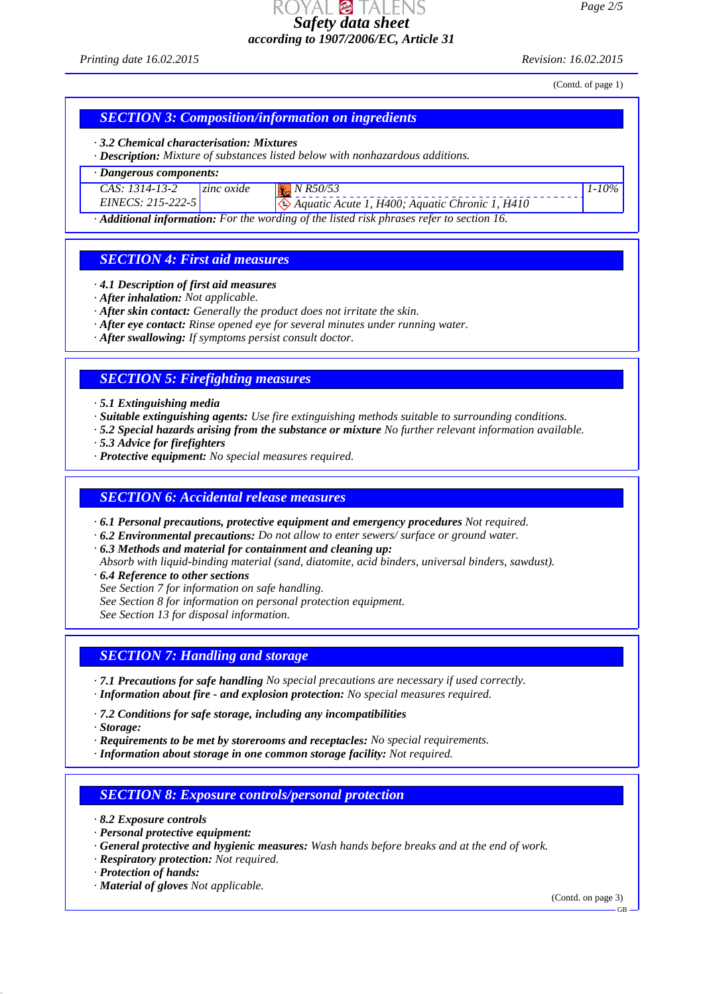AL Ø TALENS *Safety data sheet according to 1907/2006/EC, Article 31*

*Printing date 16.02.2015 Revision: 16.02.2015*

*1-10%*

(Contd. of page 1)

## *SECTION 3: Composition/information on ingredients*

#### *· 3.2 Chemical characterisation: Mixtures*

*· Description: Mixture of substances listed below with nonhazardous additions.*

#### *· Dangerous components:*

| CAS: 1314-13-2      | $\vert$ zinc oxide | N R50/53               |
|---------------------|--------------------|------------------------|
| $EINECS: 215-222-5$ |                    | $\bigotimes$ Aquatic A |

 *Aquatic Acute 1, H400; Aquatic Chronic 1, H410*

*· Additional information: For the wording of the listed risk phrases refer to section 16.*

# *SECTION 4: First aid measures*

- *· 4.1 Description of first aid measures*
- *· After inhalation: Not applicable.*
- *· After skin contact: Generally the product does not irritate the skin.*
- *· After eye contact: Rinse opened eye for several minutes under running water.*
- *· After swallowing: If symptoms persist consult doctor.*

# *SECTION 5: Firefighting measures*

- *· 5.1 Extinguishing media*
- *· Suitable extinguishing agents: Use fire extinguishing methods suitable to surrounding conditions.*
- *· 5.2 Special hazards arising from the substance or mixture No further relevant information available.*
- *· 5.3 Advice for firefighters*
- *· Protective equipment: No special measures required.*

# *SECTION 6: Accidental release measures*

- *· 6.1 Personal precautions, protective equipment and emergency procedures Not required.*
- *· 6.2 Environmental precautions: Do not allow to enter sewers/ surface or ground water.*
- *· 6.3 Methods and material for containment and cleaning up:*
- *Absorb with liquid-binding material (sand, diatomite, acid binders, universal binders, sawdust).*
- *· 6.4 Reference to other sections*
- *See Section 7 for information on safe handling.*
- *See Section 8 for information on personal protection equipment.*

*See Section 13 for disposal information.*

# *SECTION 7: Handling and storage*

- *· 7.1 Precautions for safe handling No special precautions are necessary if used correctly. · Information about fire - and explosion protection: No special measures required.*
- *· 7.2 Conditions for safe storage, including any incompatibilities*
- *· Storage:*
- *· Requirements to be met by storerooms and receptacles: No special requirements.*
- *· Information about storage in one common storage facility: Not required.*

# *SECTION 8: Exposure controls/personal protection*

- *· 8.2 Exposure controls*
- *· Personal protective equipment:*
- *· General protective and hygienic measures: Wash hands before breaks and at the end of work.*
- *· Respiratory protection: Not required.*
- *· Protection of hands:*
- *· Material of gloves Not applicable.*

(Contd. on page 3)

GB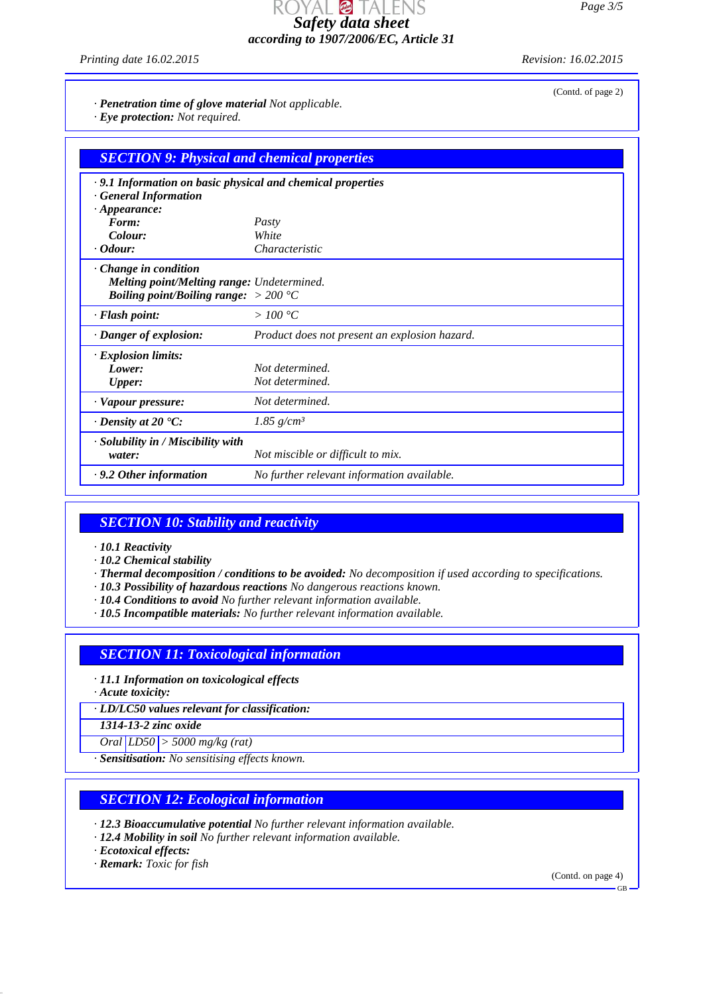DYAL @ TALENS *Safety data sheet according to 1907/2006/EC, Article 31*

*Printing date 16.02.2015 Revision: 16.02.2015*

(Contd. of page 2)

*· Penetration time of glove material Not applicable.*

*· Eye protection: Not required.*

| <b>SECTION 9: Physical and chemical properties</b>         |                                               |  |
|------------------------------------------------------------|-----------------------------------------------|--|
| .9.1 Information on basic physical and chemical properties |                                               |  |
| · General Information<br>$\cdot$ Appearance:               |                                               |  |
| Form:                                                      | Pasty                                         |  |
| Colour:                                                    | White                                         |  |
| $\cdot$ Odour:                                             | Characteristic                                |  |
| $\cdot$ Change in condition                                |                                               |  |
| Melting point/Melting range: Undetermined.                 |                                               |  |
| <i>Boiling point/Boiling range:</i> $> 200$ °C             |                                               |  |
| · Flash point:                                             | $>100\degree C$                               |  |
| $\cdot$ Danger of explosion:                               | Product does not present an explosion hazard. |  |
| $\cdot$ Explosion limits:                                  |                                               |  |
| Lower:                                                     | Not determined.                               |  |
| <b>Upper:</b>                                              | Not determined.                               |  |
| · Vapour pressure:                                         | Not determined.                               |  |
| $\cdot$ Density at 20 $\cdot$ C:                           | 1.85 $g/cm^3$                                 |  |
| · Solubility in / Miscibility with                         |                                               |  |
| water:                                                     | Not miscible or difficult to mix.             |  |
| $\cdot$ 9.2 Other information                              | No further relevant information available.    |  |

# *SECTION 10: Stability and reactivity*

- *· 10.1 Reactivity*
- *· 10.2 Chemical stability*
- *· Thermal decomposition / conditions to be avoided: No decomposition if used according to specifications.*
- *· 10.3 Possibility of hazardous reactions No dangerous reactions known.*
- *· 10.4 Conditions to avoid No further relevant information available.*
- *· 10.5 Incompatible materials: No further relevant information available.*

### *SECTION 11: Toxicological information*

- *· 11.1 Information on toxicological effects*
- *· Acute toxicity:*

*· LD/LC50 values relevant for classification:*

*1314-13-2 zinc oxide*

*Oral LD50 > 5000 mg/kg (rat)*

*· Sensitisation: No sensitising effects known.*

### *SECTION 12: Ecological information*

- *· 12.3 Bioaccumulative potential No further relevant information available.*
- *· 12.4 Mobility in soil No further relevant information available.*

*· Ecotoxical effects:*

*· Remark: Toxic for fish*

(Contd. on page 4)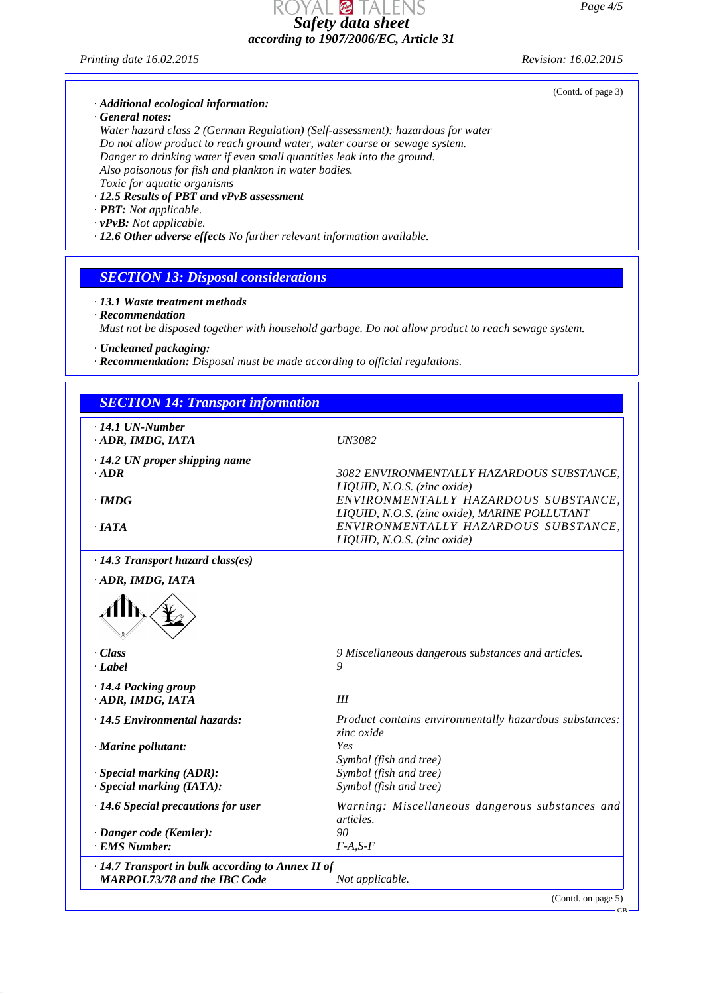*Page 4/5*

DYAL @ TALENS *Safety data sheet according to 1907/2006/EC, Article 31*

*Printing date 16.02.2015 Revision: 16.02.2015*

# *· Additional ecological information:*

*· General notes:*

*Water hazard class 2 (German Regulation) (Self-assessment): hazardous for water Do not allow product to reach ground water, water course or sewage system. Danger to drinking water if even small quantities leak into the ground. Also poisonous for fish and plankton in water bodies. Toxic for aquatic organisms*

- *· 12.5 Results of PBT and vPvB assessment*
- *· PBT: Not applicable.*
- *· vPvB: Not applicable.*
- *· 12.6 Other adverse effects No further relevant information available.*

### *SECTION 13: Disposal considerations*

#### *· 13.1 Waste treatment methods*

*· Recommendation*

*Must not be disposed together with household garbage. Do not allow product to reach sewage system.*

*· Uncleaned packaging:*

*· Recommendation: Disposal must be made according to official regulations.*

| <b>SECTION 14: Transport information</b>                                                 |                                                                                       |
|------------------------------------------------------------------------------------------|---------------------------------------------------------------------------------------|
| $\cdot$ 14.1 UN-Number<br>ADR, IMDG, IATA                                                | <b>UN3082</b>                                                                         |
| $\cdot$ 14.2 UN proper shipping name<br>$-ADR$                                           | 3082 ENVIRONMENTALLY HAZARDOUS SUBSTANCE.<br>LIQUID, N.O.S. (zinc oxide)              |
| · IMDG                                                                                   | ENVIRONMENTALLY HAZARDOUS SUBSTANCE,<br>LIQUID, N.O.S. (zinc oxide), MARINE POLLUTANT |
| $\cdot$ IATA                                                                             | ENVIRONMENTALLY HAZARDOUS SUBSTANCE,<br>LIQUID, N.O.S. (zinc oxide)                   |
| · 14.3 Transport hazard class(es)                                                        |                                                                                       |
| ADR, IMDG, IATA                                                                          |                                                                                       |
|                                                                                          |                                                                                       |
| · Class<br>$-Label$                                                                      | 9 Miscellaneous dangerous substances and articles.<br>9                               |
| · 14.4 Packing group<br>ADR, IMDG, IATA                                                  | III                                                                                   |
| · 14.5 Environmental hazards:                                                            | Product contains environmentally hazardous substances:<br>zinc oxide                  |
| · Marine pollutant:                                                                      | Yes<br>Symbol (fish and tree)                                                         |
| $\cdot$ Special marking (ADR):                                                           | Symbol (fish and tree)                                                                |
| $\cdot$ Special marking (IATA):                                                          | Symbol (fish and tree)                                                                |
| $\cdot$ 14.6 Special precautions for user                                                | Warning: Miscellaneous dangerous substances and<br>articles.                          |
| · Danger code (Kemler):                                                                  | 90                                                                                    |
| <b>EMS Number:</b>                                                                       | $F-A, S-F$                                                                            |
| · 14.7 Transport in bulk according to Annex II of<br><b>MARPOL73/78 and the IBC Code</b> | Not applicable.                                                                       |
|                                                                                          | (Contd. on page 5)                                                                    |

(Contd. of page 3)